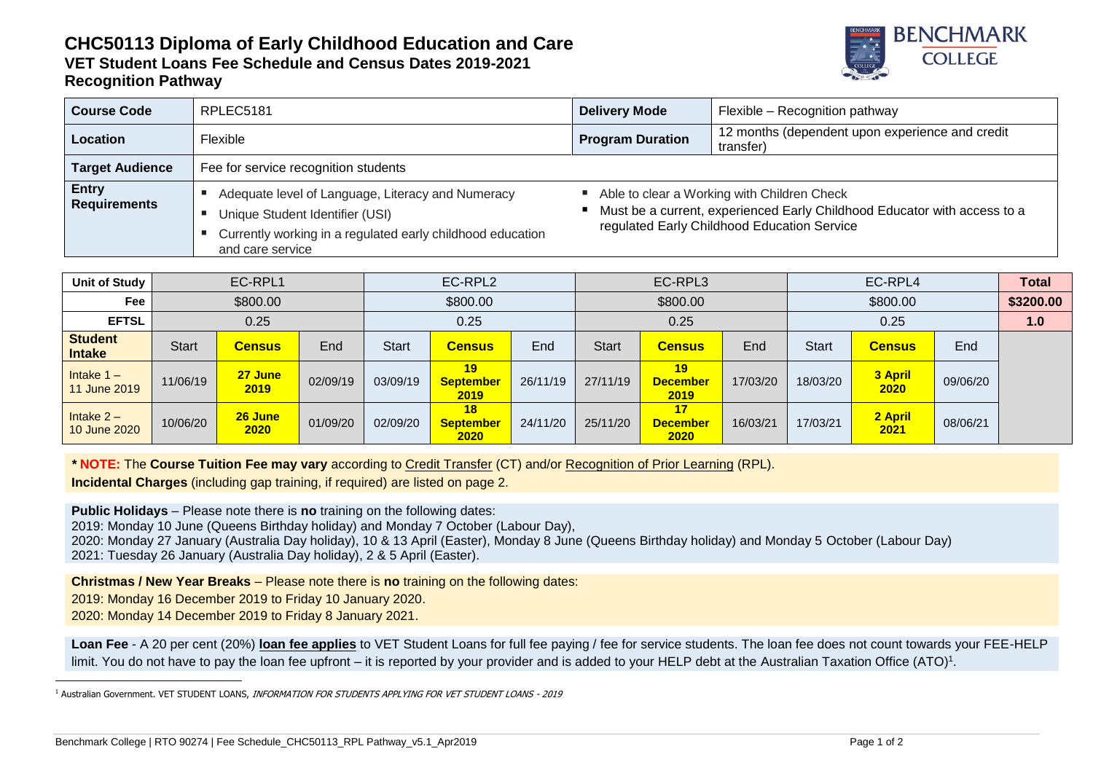## **CHC50113 Diploma of Early Childhood Education and Care VET Student Loans Fee Schedule and Census Dates 2019-2021 Recognition Pathway**



| <b>Course Code</b>                  | RPLEC5181                                                                                                                                                              | <b>Delivery Mode</b>                                                                                                                                                     | Flexible - Recognition pathway                               |  |  |  |  |
|-------------------------------------|------------------------------------------------------------------------------------------------------------------------------------------------------------------------|--------------------------------------------------------------------------------------------------------------------------------------------------------------------------|--------------------------------------------------------------|--|--|--|--|
| Location                            | Flexible                                                                                                                                                               | <b>Program Duration</b>                                                                                                                                                  | 12 months (dependent upon experience and credit<br>transfer) |  |  |  |  |
| <b>Target Audience</b>              | Fee for service recognition students                                                                                                                                   |                                                                                                                                                                          |                                                              |  |  |  |  |
| <b>Entry</b><br><b>Requirements</b> | Adequate level of Language, Literacy and Numeracy<br>Unique Student Identifier (USI)<br>Currently working in a regulated early childhood education<br>and care service | Able to clear a Working with Children Check<br>■ Must be a current, experienced Early Childhood Educator with access to a<br>regulated Early Childhood Education Service |                                                              |  |  |  |  |

| <b>Unit of Study</b>            | EC-RPL1  |                 | EC-RPL2  |              | EC-RPL3                 |          | EC-RPL4  |                               |          | <b>Total</b> |                 |          |  |
|---------------------------------|----------|-----------------|----------|--------------|-------------------------|----------|----------|-------------------------------|----------|--------------|-----------------|----------|--|
| Fee                             | \$800.00 |                 |          | \$800.00     |                         | \$800.00 |          | \$800.00                      |          | \$3200.00    |                 |          |  |
| <b>EFTSL</b>                    | 0.25     |                 | 0.25     |              | 0.25                    |          | 0.25     |                               |          | 1.0          |                 |          |  |
| <b>Student</b><br><b>Intake</b> | Start    | <b>Census</b>   | End      | <b>Start</b> | <b>Census</b>           | End      | Start    | <b>Census</b>                 | End      | <b>Start</b> | <b>Census</b>   | End      |  |
| Intake $1 -$<br>11 June 2019    | 11/06/19 | 27 June<br>2019 | 02/09/19 | 03/09/19     | 19<br>September<br>2019 | 26/11/19 | 27/11/19 | 19<br><b>December</b><br>2019 | 17/03/20 | 18/03/20     | 3 April<br>2020 | 09/06/20 |  |
| Intake $2 -$<br>10 June 2020    | 10/06/20 | 26 June<br>2020 | 01/09/20 | 02/09/20     | 18<br>September<br>2020 | 24/11/20 | 25/11/20 | 17<br><b>December</b><br>2020 | 16/03/21 | 17/03/21     | 2 April<br>2021 | 08/06/21 |  |

*\** **NOTE:** The **Course Tuition Fee may vary** according to Credit Transfer (CT) and/or Recognition of Prior Learning (RPL). **Incidental Charges** (including gap training, if required) are listed on page 2.

**Public Holidays** – Please note there is **no** training on the following dates: 2019: Monday 10 June (Queens Birthday holiday) and Monday 7 October (Labour Day), 2020: Monday 27 January (Australia Day holiday), 10 & 13 April (Easter), Monday 8 June (Queens Birthday holiday) and Monday 5 October (Labour Day) 2021: Tuesday 26 January (Australia Day holiday), 2 & 5 April (Easter).

**Christmas / New Year Breaks** – Please note there is **no** training on the following dates:

2019: Monday 16 December 2019 to Friday 10 January 2020.

2020: Monday 14 December 2019 to Friday 8 January 2021.

-

**Loan Fee** - A 20 per cent (20%) **loan fee applies** to VET Student Loans for full fee paying / fee for service students. The loan fee does not count towards your FEE-HELP limit. You do not have to pay the loan fee upfront – it is reported by your provider and is added to your HELP debt at the Australian Taxation Office (ATO)<sup>1</sup>.

<sup>&</sup>lt;sup>1</sup> Australian Government. VET STUDENT LOANS, INFORMATION FOR STUDENTS APPLYING FOR VET STUDENT LOANS - 2019